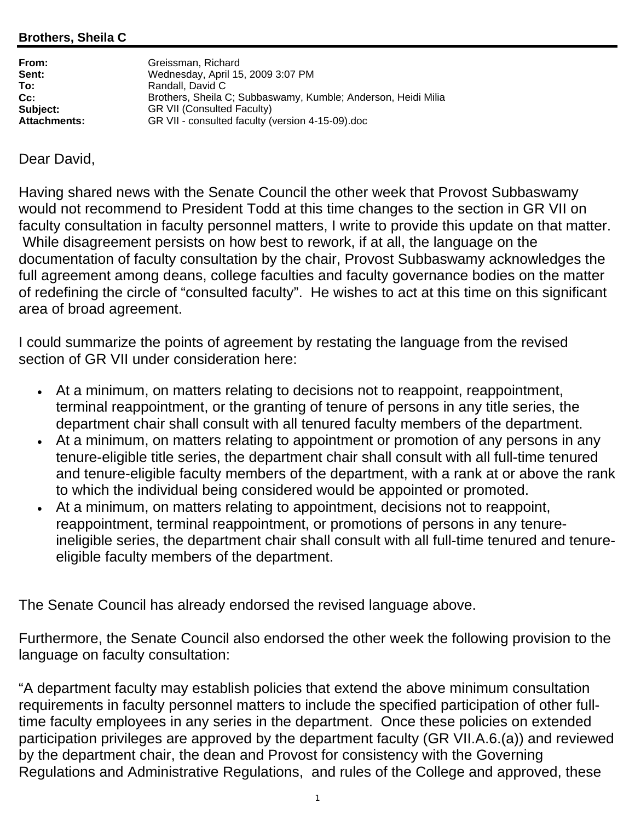## **Brothers, Sheila C**

| From:               | Greissman, Richard                                            |
|---------------------|---------------------------------------------------------------|
| Sent:               | Wednesday, April 15, 2009 3:07 PM                             |
| To:                 | Randall, David C                                              |
| Cc:                 | Brothers, Sheila C; Subbaswamy, Kumble; Anderson, Heidi Milia |
| Subject:            | <b>GR VII (Consulted Faculty)</b>                             |
| <b>Attachments:</b> | GR VII - consulted faculty (version 4-15-09).doc              |
|                     |                                                               |

## Dear David,

Having shared news with the Senate Council the other week that Provost Subbaswamy would not recommend to President Todd at this time changes to the section in GR VII on faculty consultation in faculty personnel matters, I write to provide this update on that matter. While disagreement persists on how best to rework, if at all, the language on the documentation of faculty consultation by the chair, Provost Subbaswamy acknowledges the full agreement among deans, college faculties and faculty governance bodies on the matter of redefining the circle of "consulted faculty". He wishes to act at this time on this significant area of broad agreement.

I could summarize the points of agreement by restating the language from the revised section of GR VII under consideration here:

- At a minimum, on matters relating to decisions not to reappoint, reappointment, terminal reappointment, or the granting of tenure of persons in any title series, the department chair shall consult with all tenured faculty members of the department.
- At a minimum, on matters relating to appointment or promotion of any persons in any tenure-eligible title series, the department chair shall consult with all full-time tenured and tenure-eligible faculty members of the department, with a rank at or above the rank to which the individual being considered would be appointed or promoted.
- At a minimum, on matters relating to appointment, decisions not to reappoint, reappointment, terminal reappointment, or promotions of persons in any tenureineligible series, the department chair shall consult with all full-time tenured and tenureeligible faculty members of the department.

The Senate Council has already endorsed the revised language above.

Furthermore, the Senate Council also endorsed the other week the following provision to the language on faculty consultation:

"A department faculty may establish policies that extend the above minimum consultation requirements in faculty personnel matters to include the specified participation of other fulltime faculty employees in any series in the department. Once these policies on extended participation privileges are approved by the department faculty (GR VII.A.6.(a)) and reviewed by the department chair, the dean and Provost for consistency with the Governing Regulations and Administrative Regulations, and rules of the College and approved, these